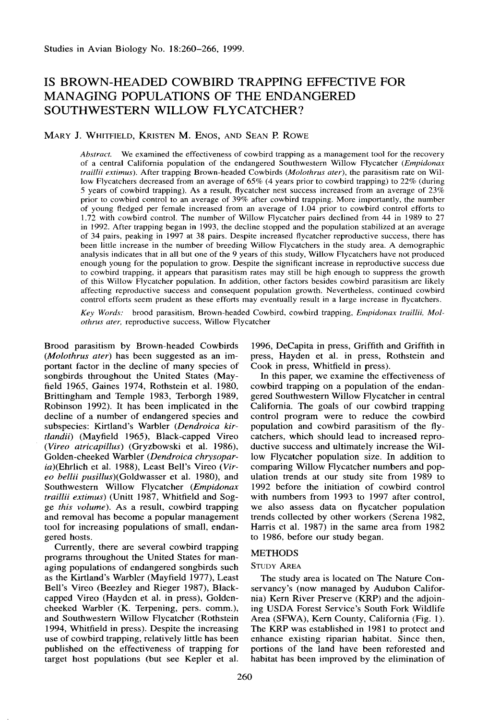# **IS BROWN-HEADED COWBIRD TRAPPING EFFECTIVE FOR MANAGING POPULATIONS OF THE ENDANGERED SOUTHWESTERN WILLOW FLYCATCHER?**

# **MARY J. WHITFIELD, KRISTEN M. ENOS, AND SEAN P. ROWE**

**Abstract. We examined the effectiveness of cowbird trapping as a management tool for the recovery**  of a central California population of the endangered Southwestern Willow Flycatcher (*Empidonax* traillii extimus). After trapping Brown-headed Cowbirds (Molothrus ater), the parasitism rate on Wil**low Flycatchers decreased from an average of 65% (4 years prior to cowbird trapping) to 22% (during 5 years of cowbird trapping). As a result, flycatcher nest success increased from an average of 23% prior to cowbird control to an average of 39% after cowbird trapping. More importantly, the number of young fledged per female increased from an average of 1.04 prior to cowbird control efforts to 1.72 with cowbird control. The number of Willow Flycatcher pairs declined from 44 in 1989 to 27 in 1992. After trapping began in 1993, the decline stopped and the population stabilized at an average of 34 pairs, peaking in 1997 at 38 pairs. Despite increased flycatcher reproductive success, there has been little increase in the number of breeding Willow Flycatchers in the study area. A demographic analysis indicates that in all but one of the 9 years of this study, Willow Flycatchers have not produced enough young for the population to grow. Despite the significant increase in reproductive success due to cowbird trapping, it appears that parasitism rates may still be high enough to suppress the growth of this Willow Flycatcher population. In addition, other factors besides cowbird parasitism are likely affecting reproductive success and consequent population growth. Nevertheless, continued cowbird control efforts seem prudent as these efforts may eventually result in a large increase in flycatchers.** 

Key Words: brood parasitism, Brown-headed Cowbird, cowbird trapping, *Empidonax traillii*, Mol**othrus ater, reproductive success, Willow Flycatcher** 

**Brood parasitism by Brown-headed Cowbirds (Molothrus ater) has been suggested as an important factor in the decline of many species of songbirds throughout the United States (Mayfield 1965, Gaines 1974, Rothstein et al. 1980, Brittingham and Temple 1983, Terborgh 1989, Robinson 1992). It has been implicated in the decline of a number of endangered species and**  subspecies: Kirtland's Warbler (Dendroica kir**tlandii) (Mayfield 1965), Black-capped Vireo**  (Vireo atricapillus) (Gryzbowski et al. 1986), **Golden-cheeked Warbler (Dendroica chrysopar**ia)(Ehrlich et al. 1988), Least Bell's Vireo (Vireo bellii pusillus)(Goldwasser et al. 1980), and **Southwestern Willow Flycatcher (Empidonax traillii extimus) (Unitt 1987, Whitfield and Sogge this volume). As a result, cowbird trapping and removal has become a popular management tool for increasing populations of small, endangered hosts.** 

**Currently, there are several cowbird trapping programs throughout the United States for managing populations of endangered songbirds such**  as the Kirtland's Warbler (Mayfield 1977), Least Bell's Vireo (Beezley and Rieger 1987), Black**capped Vireo (Hayden et al. in press), Goldencheeked Warbler (K. Terpening, pers. comm.), and Southwestern Willow Flycatcher (Rothstein 1994, Whitfield in press). Despite the increasing use of cowbird trapping, relatively little has been published on the effectiveness of trapping for target host populations (but see Kepler et al.** 

**1996, DeCapita in press, Griffith and Griffith in press, Hayden et al. in press, Rothstein and Cook in press, Whitfield in press).** 

**In this paper, we examine the effectiveness of cowbird trapping on a population of the endangered Southwestern Willow Flycatcher in central California. The goals of our cowbird trapping control program were to reduce the cowbird population and cowbird parasitism of the flycatchers, which should lead to increased reproductive success and ultimately increase the Willow Flycatcher population size. In addition to comparing Willow Flycatcher numbers and population trends at our study site from 1989 to 1992 before the initiation of cowbird control with numbers from 1993 to 1997 after control, we also assess data on flycatcher population trends collected by other workers (Serena 1982, Harris et al. 1987) in the same area from 1982 to 1986, before our study began.** 

### **METHODS**

### **STUDV AREA**

**The study area is located on The Nature Con**servancy's (now managed by Audubon Califor**nia) Kern River Preserve (KRP) and the adjoin**ing USDA Forest Service's South Fork Wildlife **Area (SFWA), Kern County, California (Fig. 1). The KRP was established in 1981 to protect and enhance existing riparian habitat. Since then, portions of the land have been reforested and habitat has been improved by the elimination of**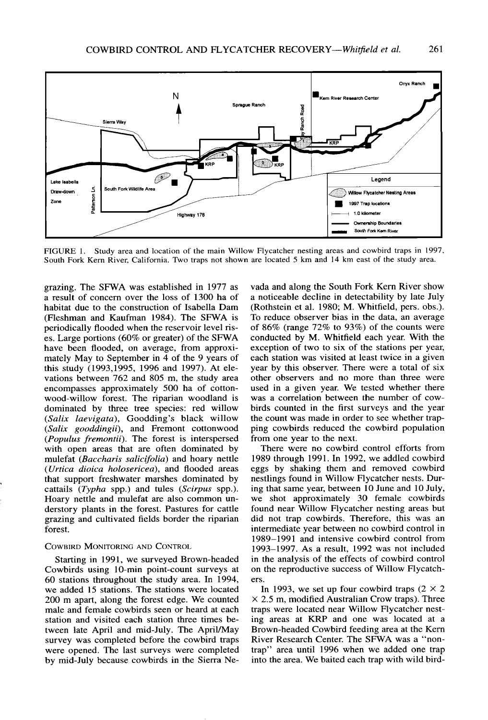

**FIGURE 1. Study area and location of the main Willow Flycatcher nesting areas and cowbird traps in 1997, South Fork Kern River, California. Two traps not shown are located 5 km and 14 km east of the study area.** 

**grazing. The SFWA was established in 1977 as a result of concern over the loss of 1300 ha of habitat due to the construction of Isabella Dam (Fleshman and Kaufman 1984). The SFWA is periodically flooded when the reservoir level rises. Large portions (60% or greater) of the SFWA have been flooded, on average, from approximately May to September in 4 of the 9 years of this study (1993,1995, 1996 and 1997). At elevations between 762 and 805 m, the study area encompasses approximately 500 ha of cottonwood-willow forest. The riparian woodland is dominated by three tree species: red willow**  (Salix laevigata), Goodding's black willow (Salix gooddingii), and Fremont cottonwood **(Populus fremontii). The forest is interspersed with open areas that are often dominated by**  mulefat (Baccharis salicifolia) and hoary nettle **(Urtica dioica holosericea), and flooded areas that support freshwater marshes dominated by cattails (Typha spp.) and tules (Scirpus spp.). Hoary nettle and mulefat are also common understory plants in the forest. Pastures for cattle grazing and cultivated fields border the riparian forest.** 

## **COWBIRD MONITORING AND CONTROL**

**Starting in 1991, we surveyed Brown-headed Cowbirds using IO-min point-count surveys at 60 stations throughout the study area. In 1994, we added 15 stations. The stations were located 200 m apart, along the forest edge. We counted male and female cowbirds seen or heard at each station and visited each station three times between late April and mid-July. The April/May survey was completed before the cowbird traps were opened. The last surveys were completed by mid-July because cowbirds in the Sierra Ne-** **vada and along the South Fork Kern River show a noticeable decline in detectability by late July (Rothstein et al. 1980; M. Whitfield, pers. obs.). To reduce observer bias in the data, an average of 86% (range 72% to 93%) of the counts were conducted by M. Whitfield each year. With the exception of two to six of the stations per year, each station was visited at least twice in a given year by this observer. There were a total of six other observers and no more than three were used in a given year. We tested whether there was a correlation between the number of cowbirds counted in the first surveys and the year the count was made in order to see whether trapping cowbirds reduced the cowbird population from one year to the next.** 

**There were no cowbird control efforts from 1989 through 1991. In 1992, we addled cowbird eggs by shaking them and removed cowbird nestlings found in Willow Flycatcher nests. During that same year, between 10 June and 10 July, we shot approximately 30 female cowbirds found near Willow Flycatcher nesting areas but did not trap cowbirds. Therefore, this was an intermediate year between no cowbird control in 1989-1991 and intensive cowbird control from 1993-1997. As a result, 1992 was not included in the analysis of the effects of cowbird control on the reproductive success of Willow Flycatchers.** 

In 1993, we set up four cowbird traps  $(2 \times 2)$ **X 2.5 m, modified Australian Crow traps). Three traps were located near Willow Flycatcher nesting areas at KRP and one was located at a Brown-headed Cowbird feeding area at the Kern River Research Center. The SFWA was a "nontrap" area until 1996 when we added one trap into the area. We baited each trap with wild bird-**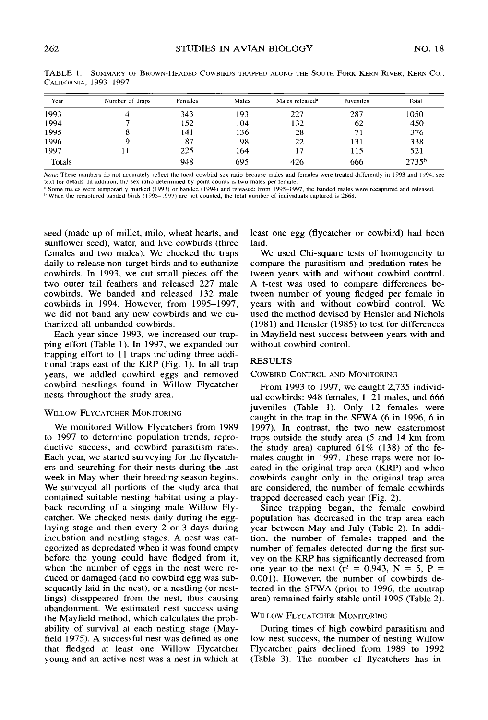| Year   | Number of Traps | Females | Males | Males released <sup>a</sup> | Juveniles | Total             |
|--------|-----------------|---------|-------|-----------------------------|-----------|-------------------|
| 1993   |                 | 343     | 193   | 227                         | 287       | 1050              |
| 1994   |                 | 152     | 104   | 132                         | 62        | 450               |
| 1995   | o               | 141     | 136   | 28                          |           | 376               |
| 1996   |                 | 87      | 98    | 22                          | 131       | 338               |
| 1997   |                 | 225     | 164   |                             | 115       | 521               |
| Totals |                 | 948     | 695   | 426                         | 666       | 2735 <sup>b</sup> |

**TABLE 1. SUMMARY OF BROWN-HEADED COWRIRDS TRAPPED ALONG THE SOUTH FORK KERN RIVER, KERN Co., CALIFORNIA, 1993-1997** 

Note: These numbers do not accurately reflect the local cowbird sex ratio because males and females were treated differently in 1993 and 1994, see text for details. In addition, the sex ratio determined by point counts is two males per female.

Some males were temporarily marked (1993) or banded (1994) and released; from 1995-1997, the banded males were recaptured and released. <sup>b</sup> When the recaptured banded birds (1995-1997) are not counted, the total number of individuals captured is 2668.

**seed (made up of millet, milo, wheat hearts, and sunflower seed), water, and live cowbirds (three females and two males). We checked the traps daily to release non-target birds and to euthanize cowbirds. In 1993, we cut small pieces off the two outer tail feathers and released 227 male cowbirds. We banded and released 132 male cowbirds in 1994. However, from 1995-1997, we did not band any new cowbirds and we euthanized all unbanded cowbirds.** 

**Each year since 1993, we increased our trapping effort (Table 1). In 1997, we expanded our trapping effort to 11 traps including three additional traps east of the KRP (Fig. 1). In all trap years, we addled cowbird eggs and removed cowbird nestlings found in Willow Flycatcher nests throughout the study area.** 

### **WILLOW FLYCATCHER MONITORING**

**We monitored Willow Flycatchers from 1989 to 1997 to determine population trends, reproductive success, and cowbird parasitism rates. Each year, we started surveying for the flycatchers and searching for their nests during the last week in May when their breeding season begins. We surveyed all portions of the study area that contained suitable nesting habitat using a playback recording of a singing male Willow Flycatcher. We checked nests daily during the egglaying stage and then every 2 or 3 days during incubation and nestling stages. A nest was categorized as depredated when it was found empty before the young could have fledged from it, when the number of eggs in the nest were reduced or damaged (and no cowbird egg was subsequently laid in the nest), or a nestling (or nestlings) disappeared from the nest, thus causing abandonment. We estimated nest success using the Mayfield method, which calculates the probability of survival at each nesting stage (Mayfield 1975). A successful nest was defined as one that fledged at least one Willow Flycatcher young and an active nest was a nest in which at**  **least one egg (flycatcher or cowbird) had been laid.** 

**We used Chi-square tests of homogeneity to compare the parasitism and predation rates between years with and without cowbird control. A t-test was used to compare differences between number of young fledged per female in years with and without cowbird control. We used the method devised by Hensler and Nichols (1981) and Hensler (1985) to test for differences in Mayfield nest success between years with and without cowbird control.** 

# **RESULTS**

### **COWBIRD CONTROL AND MONITORING**

**From 1993 to 1997, we caught 2,735 individual cowbirds: 948 females, 1121 males, and 666 juveniles (Table 1). Only 12 females were caught in the trap in the SFWA (6 in 1996, 6 in 1997). In contrast, the two new easternmost traps outside the study area (5 and 14 km from the study area) captured 61% (138) of the females caught in 1997. These traps were not located in the original trap area (KRP) and when cowbirds caught only in the original trap area are considered, the number of female cowbirds trapped decreased each year (Fig. 2).** 

**Since trapping began, the female cowbird population has decreased in the trap area each year between May and July (Table 2). In addition, the number of females trapped and the number of females detected during the first survey on the KRP has significantly decreased from**  one year to the next ( $r^2 = 0.943$ , N = 5, P = **0.001). However, the number of cowbirds detected in the SFWA (prior to 1996, the nontrap area) remained fairly stable until 1995 (Table 2).** 

### **WILLOW FLYCATCHER MONITORING**

**During times of high cowbird parasitism and low nest success, the number of nesting Willow Flycatcher pairs declined from 1989 to 1992 (Table 3). The number of flycatchers has in-**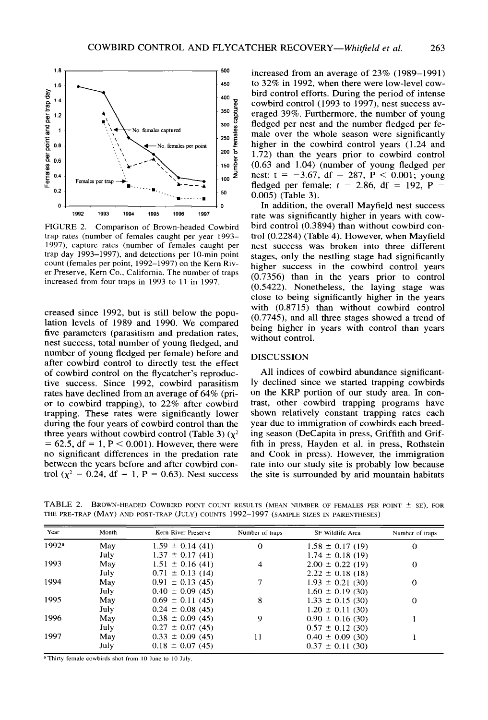

**FIGURE 2. Comparison of Brown-headed Cowbird trap rates (number of females caught per year 1993- 1997), capture rates (number of females caught per trap day 1993-1997), and detections per IO-min point count (females per point, 1992-1997) on the Kern River Preserve, Kern Co., California. The number of traps increased from four traps in 1993 to 11 in 1997.** 

**creased since 1992, but is still below the population levels of 1989 and 1990. We compared five parameters (parasitism and predation rates, nest success, total number of young fledged, and number of young fledged per female) before and after cowbird control to directly test the effect of cowbird control on the flycatcher's reproductive success. Since 1992, cowbird parasitism rates have declined from an average of 64% (prior to cowbird trapping), to 22% after cowbird trapping. These rates were significantly lower during the four years of cowbird control than the**  three years without cowbird control (Table 3)  $(\chi^2)$  $= 62.5$ , df  $= 1, P < 0.001$ ). However, there were **no significant differences in the predation rate between the years before and after cowbird con**trol ( $\chi^2 = 0.24$ , df = 1, P = 0.63). Nest success

**increased from an average of 23% (1989-1991) to 32% in 1992, when there were low-level cowbird control efforts. During the period of intense cowbird control (1993 to 1997), nest success averaged 39%. Furthermore, the number of young fledged per nest and the number fledged per female over the whole season were significantly higher in the cowbird control years (1.24 and 1.72) than the years prior to cowbird control (0.63 and 1.04) (number of young fledged per**  nest:  $t = -3.67$ ,  $df = 287$ ,  $P < 0.001$ ; young **fledged per female:**  $t = 2.86$ ,  $df = 192$ ,  $P =$ **0.005) (Table 3).** 

**In addition, the overall Mayfield nest success rate was significantly higher in years with cowbird control (0.3894) than without cowbird control (0.2284) (Table 4). However, when Mayfield nest success was broken into three different stages, only the nestling stage had significantly higher success in the cowbird control years (0.7356) than in the years prior to control (0.5422). Nonetheless, the laying stage was close to being significantly higher in the years with (0.8715) than without cowbird control (0.7745), and all three stages showed a trend of being higher in years with control than years without control.** 

### **DISCUSSION**

**All indices of cowbird abundance significantly declined since we started trapping cowbirds on the KRP portion of our study area. In contrast, other cowbird trapping programs have shown relatively constant trapping rates each year due to immigration of cowbirds each breeding season (DeCapita in press, Griffith and Griffith in press, Hayden et al. in press, Rothstein and Cook in press). However, the immigration rate into our study site is probably low because the site is surrounded by arid mountain habitats** 

TABLE 2. BROWN-HEADED COWBIRD POINT COUNT RESULTS (MEAN NUMBER OF FEMALES PER POINT  $\pm$  SE), FOR **THE PRE-TRAP(MAY) AND POST-TRAP(JULY)COUNTS 1992-1997 (SAMPLE SIZES IN PARENTHESES)** 

| Year              | Month | Kern River Preserve  | Number of traps | SF Wildlife Area     | Number of traps |
|-------------------|-------|----------------------|-----------------|----------------------|-----------------|
| 1992 <sup>a</sup> | May   | $1.59 \pm 0.14(41)$  | $\theta$        | $1.58 \pm 0.17(19)$  | 0               |
|                   | July  | $1.37 \pm 0.17(41)$  |                 | $1.74 \pm 0.18$ (19) |                 |
| 1993              | May   | $1.51 \pm 0.16$ (41) | 4               | $2.00 \pm 0.22$ (19) | $\bf{0}$        |
|                   | July  | $0.71 \pm 0.13$ (14) |                 | $2.22 \pm 0.18$ (18) |                 |
| 1994              | May   | $0.91 \pm 0.13$ (45) |                 | $1.93 \pm 0.21$ (30) | 0               |
|                   | July  | $0.40 \pm 0.09$ (45) |                 | $1.60 \pm 0.19$ (30) |                 |
| 1995              | May   | $0.69 \pm 0.11$ (45) | 8               | $1.33 \pm 0.15$ (30) | 0               |
|                   | July  | $0.24 \pm 0.08$ (45) |                 | $1.20 \pm 0.11$ (30) |                 |
| 1996              | May   | $0.38 \pm 0.09$ (45) | 9               | $0.90 \pm 0.16$ (30) |                 |
|                   | July  | $0.27 \pm 0.07$ (45) |                 | $0.57 \pm 0.12$ (30) |                 |
| 1997              | May   | $0.33 \pm 0.09$ (45) | 11              | $0.40 \pm 0.09$ (30) |                 |
|                   | July  | $0.18 \pm 0.07$ (45) |                 | $0.37 \pm 0.11$ (30) |                 |

**a Thirty female cowbirds shot from IO June to IO July.**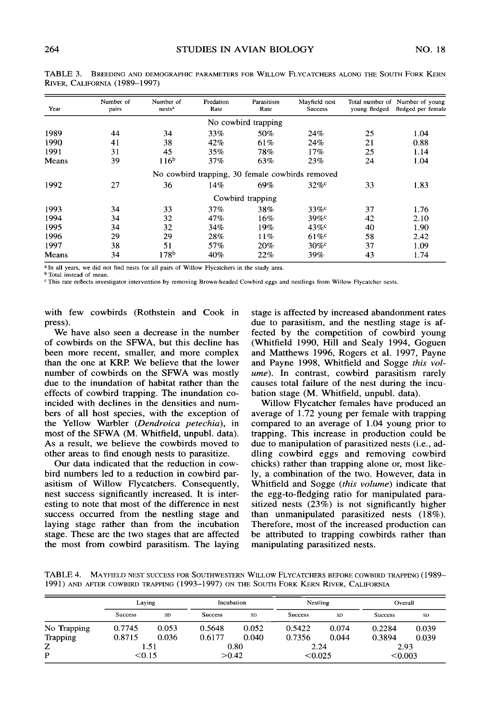| Year  | Number of<br>pairs | Number of<br>nests <sup>3</sup> | Predation<br>Rate | Parasitism<br>Rate  | Mayfield nest<br><b>Success</b>                 | voung fledged | Total number of Number of young<br>fledged per female |
|-------|--------------------|---------------------------------|-------------------|---------------------|-------------------------------------------------|---------------|-------------------------------------------------------|
|       |                    |                                 |                   | No cowbird trapping |                                                 |               |                                                       |
| 1989  | 44                 | 34                              | 33%               | 50%                 | 24%                                             | 25            | 1.04                                                  |
| 1990  | 41                 | 38                              | 42%               | 61%                 | 24%                                             | 21            | 0.88                                                  |
| 1991  | 31                 | 45                              | 35%               | 78%                 | 17%                                             | 25            | 1.14                                                  |
| Means | 39                 | 116 <sup>b</sup>                | 37%               | 63%                 | 23%                                             | 24            | 1.04                                                  |
|       |                    |                                 |                   |                     | No cowbird trapping, 30 female cowbirds removed |               |                                                       |
| 1992  | 27                 | 36                              | 14%               | 69%                 | $32\%$                                          | 33            | 1.83                                                  |
|       |                    |                                 |                   | Cowbird trapping    |                                                 |               |                                                       |
| 1993  | 34                 | 33                              | 37%               | 38%                 | $33\%$                                          | 37            | 1.76                                                  |
| 1994  | 34                 | 32                              | 47%               | 16%                 | $39\%$ c                                        | 42            | 2.10                                                  |
| 1995  | 34                 | 32                              | 34%               | 19%                 | $43\%$ c                                        | 40            | 1.90                                                  |
| 1996  | 29                 | 29                              | 28%               | 11%                 | $61\%$ c                                        | 58            | 2.42                                                  |
| 1997  | 38                 | 51                              | 57%               | 20%                 | $30\%$ c                                        | 37            | 1.09                                                  |
| Means | 34                 | 178 <sup>b</sup>                | 40%               | 22%                 | 39%                                             | 43            | 1.74                                                  |

**TABLE 3. BREEDING AND DEMOGRAPHIC PARAMETERS FOR WILLOW FLYCATCHERS ALONG THE SOUTHFORK KERN RIVER, CALIFORNIA (1989-1997)** 

<sup>a</sup> In all years, we did not find nests for all pairs of Willow Flycatchers in the study area.

**b Total instead of mean.** 

**c This rate reflects mvestigator intervention by removing Brown-headed Cowbtrd eggs and nestlings from Willow Flycatcher nests** 

**with few cowbirds (Rothstein and Cook in press).** 

**We have also seen a decrease in the number of cowbirds on the SFWA, but this decline has been more recent, smaller, and more complex**  than the one at KRP. We believe that the lower **number of cowbirds on the SFWA was mostly due to the inundation of habitat rather than the effects of cowbird trapping. The inundation coincided with declines in the densities and numbers of all host species, with the exception of the Yellow Warbler (Dendroica petechia), in most of the SFWA (M. Whitfield, unpubl. data). As a result, we believe the cowbirds moved to other areas to find enough nests to parasitize.** 

**Our data indicated that the reduction in cowbird numbers led to a reduction in cowbird parasitism of Willow Flycatchers. Consequently, nest success significantly increased. It is interesting to note that most of the difference in nest success occurred from the nestling stage and laying stage rather than from the incubation stage. These are the two stages that are affected the most from cowbird parasitism. The laying**  **stage is affected by increased abandonment rates due to parasitism, and the nestling stage is affected by the competition of cowbird young (Whitfield 1990, Hill and Sealy 1994, Goguen and Matthews 1996, Rogers et al. 1997, Payne and Payne 1998, Whitfield and Sogge this volume). In contrast, cowbird parasitism rarely causes total failure of the nest during the incubation stage (M. Whitfield, unpubl. data).** 

**Willow Flycatcher females have produced an average of 1.72 young per female with trapping compared to an average of 1.04 young prior to trapping. This increase in production could be due to manipulation of parasitized nests (i.e., addling cowbird eggs and removing cowbird chicks) rather than trapping alone or, most likely, a combination of the two. However, data in Whitfield and Sogge (this volume) indicate that the egg-to-fledging ratio for manipulated parasitized nests (23%) is not significantly higher than unmanipulated parasitized nests (18%). Therefore, most of the increased production can be attributed to trapping cowbirds rather than manipulating parasitized nests.** 

TABLE 4. MAYFIELD NEST SUCCESS FOR SOUTHWESTERN WILLOW FLYCATCHERS BEFORE COWBIRD TRAPPING (1989-1991) AND AFTER COWBIRD TRAPPING (1993-1997) ON THE SOUTH FORK KERN RIVER, CALIFORNIA

|             | Laving         |           | Incubation     |                   | Nestling       |           | Overall        |           |
|-------------|----------------|-----------|----------------|-------------------|----------------|-----------|----------------|-----------|
|             | <b>Success</b> | <b>SD</b> | <b>Success</b> | SD                | <b>Success</b> | <b>SD</b> | <b>Success</b> | <b>SD</b> |
| No Trapping | 0.7745         | 0.053     | 0.5648         | 0.052             | 0.5422         | 0.074     | 0.2284         | 0.039     |
| Trapping    | 0.8715         | 0.036     | 0.6177         | 0.040             | 0.7356         | 0.044     | 0.3894         | 0.039     |
| z           | 1.51           |           | 0.80           |                   | 2.24           |           | 2.93           |           |
| p           | < 0.15         |           |                | > 0.42<br>< 0.025 |                |           | < 0.003        |           |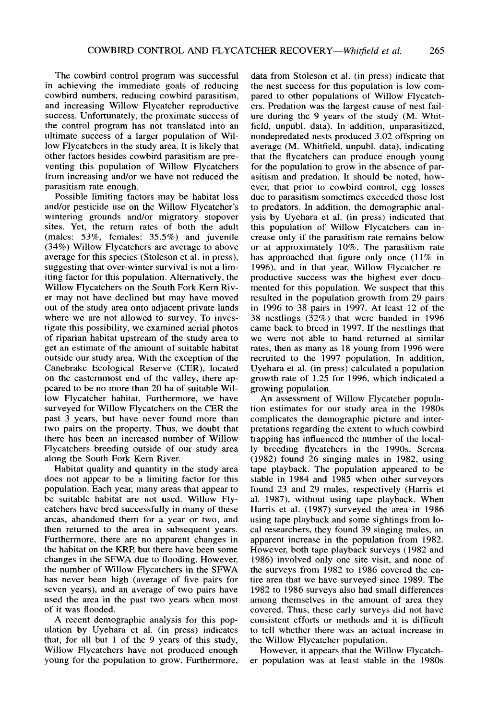**The cowbird control program was successful in achieving the immediate goals of reducing cowbird numbers, reducing cowbird parasitism, and increasing Willow Flycatcher reproductive success. Unfortunately, the proximate success of the control program has not translated into an ultimate success of a larger population of Willow Flycatchers in the study area. It is likely that other factors besides cowbird parasitism are preventing this population of Willow Flycatchers from increasing and/or we have not reduced the parasitism rate enough.** 

**Possible limiting factors may be habitat loss and/or pesticide use on the Willow Flycatcher's wintering grounds and/or migratory stopover sites. Yet, the return rates of both the adult (males: 53%, females: 35.5%) and juvenile (34%) Willow Flycatchers are average to above average for this species (Stoleson et al. in press), suggesting that over-winter survival is not a limiting factor for this population. Alternatively, the Willow Flycatchers on the South Fork Kern River may not have declined but may have moved out of the study area onto adjacent private lands where we are not allowed to survey. To investigate this possibility, we examined aerial photos of riparian habitat upstream of the study area to get an estimate of the amount of suitable habitat outside our study area. With the exception of the Canebrake Ecological Reserve (CER), located on the easternmost end of the valley, there appeared to be no more than 20 ha of suitable Willow Flycatcher habitat. Furthermore, we have surveyed for Willow Flycatchers on the CER the past 3 years, but have never found more than two pairs on the property. Thus, we doubt that there has been an increased number of Willow Flycatchers breeding outside of our study area along the South Fork Kern River.** 

**Habitat quality and quantity in the study area does not appear to be a limiting factor for this population. Each year, many areas that appear to be suitable habitat are not used. Willow Flycatchers have bred successfully in many of these areas, abandoned them for a year or two, and then returned to the area in subsequent years. Furthermore, there are no apparent changes in the habitat on the KRP, but there have been some changes in the SFWA due to flooding. However, the number of Willow Flycatchers in the SFWA has never been high (average of five pairs for seven years), and an average of two pairs have used the area in the past two years when most of it was flooded.** 

**A recent demographic analysis for this population by Uyehara et al. (in press) indicates that, for all but 1 of the 9 years of this study, Willow Flycatchers have not produced enough young for the population to grow. Furthermore,**  **data from Stoleson et al. (in press) indicate that the nest success for this population is low compared to other populations of Willow Flycatchers. Predation was the largest cause of nest failure during the 9 years of the study (M. Whitfield, unpubl. data). In addition, unparasitized, nondepredated nests produced 3.02 offspring on average (M. Whitfield, unpubl. data), indicating that the flycatchers can produce enough young for the population to grow in the absence of parasitism and predation. It should be noted, however, that prior to cowbird control, egg losses due to parasitism sometimes exceeded those lost to predators. In addition, the demographic analysis by Uyehara et al. (in press) indicated that this population of Willow Flycatchers can increase only if the parasitism rate remains below or at approximately 10%. The parasitism rate has approached that figure only once (11% in 1996), and in that year, Willow Flycatcher reproductive success was the highest ever documented for this population. We suspect that this resulted in the population growth from 29 pairs in 1996 to 38 pairs in 1997. At least 12 of the 38 nestlings (32%) that were banded in 1996 came back to breed in 1997. If the nestlings that we were not able to band returned at similar rates, then as many as 18 young from 1996 were recruited to the 1997 population. In addition, Uyehara et al. (in press) calculated a population growth rate of 1.25 for 1996, which indicated a growing population.** 

**An assessment of Willow Flycatcher population estimates for our study area in the 1980s complicates the demographic picture and interpretations regarding the extent to which cowbird trapping has influenced the number of the locally breeding flycatchers in the 1990s. Serena (1982) found 26 singing males in 1982, using tape playback. The population appeared to be stable in 1984 and 1985 when other surveyors found 23 and 29 males, respectively (Harris et al. 1987), without using tape playback. When Harris et al. (1987) surveyed the area in 1986 using tape playback and some sightings from local researchers, they found 39 singing males, an apparent increase in the population from 1982. However, both tape playback surveys (1982 and 1986) involved only one site visit, and none of the surveys from 1982 to 1986 covered the entire area that we have surveyed since 1989. The 1982 to 1986 surveys also had small differences among themselves in the amount of area they covered. Thus, these early surveys did not have consistent efforts or methods and it is difficult to tell whether there was an actual increase in the Willow Flycatcher population.** 

**However, it appears that the Willow Flycatcher population was at least stable in the 1980s**